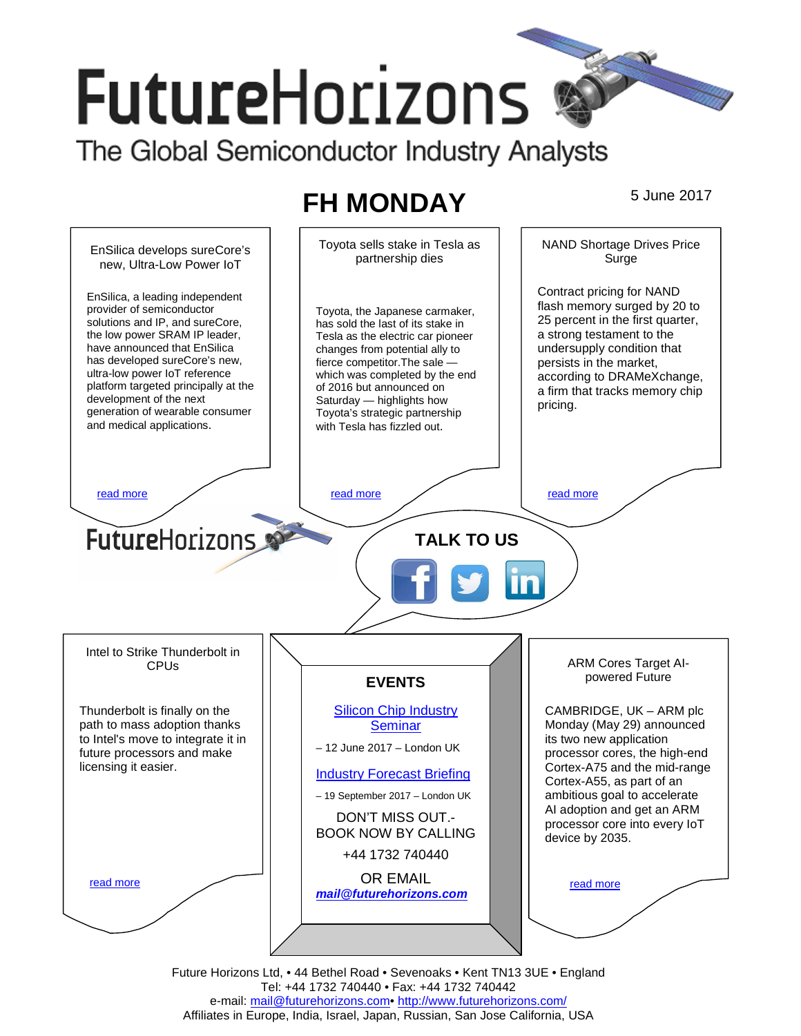# **FutureHorizons**

The Global Semiconductor Industry Analysts

# **FH MONDAY** 5 June 2017



Future Horizons Ltd, • 44 Bethel Road • Sevenoaks • Kent TN13 3UE • England Tel: +44 1732 740440 • Fax: +44 1732 740442 e-mail: mail@futurehorizons.com• http://www.futurehorizons.com/ Affiliates in Europe, India, Israel, Japan, Russian, San Jose California, USA